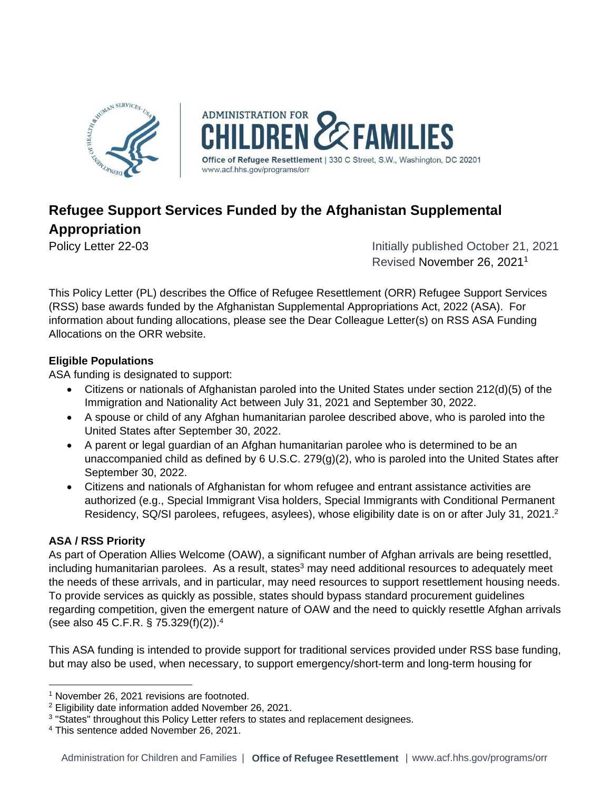

# **Refugee Support Services Funded by the Afghanistan Supplemental Appropriation**

Policy Letter 22-03 **Initially published October 21, 2021** Revised November 26, 2021<sup>1</sup>

This Policy Letter (PL) describes the Office of Refugee Resettlement (ORR) Refugee Support Services (RSS) base awards funded by the Afghanistan Supplemental Appropriations Act, 2022 (ASA). For information about funding allocations, please see the Dear Colleague Letter(s) on RSS ASA Funding Allocations on the ORR website.

## **Eligible Populations**

ASA funding is designated to support:

- Citizens or nationals of Afghanistan paroled into the United States under section 212(d)(5) of the Immigration and Nationality Act between July 31, 2021 and September 30, 2022.
- A spouse or child of any Afghan humanitarian parolee described above, who is paroled into the United States after September 30, 2022.
- A parent or legal guardian of an Afghan humanitarian parolee who is determined to be an unaccompanied child as defined by 6 U.S.C. 279(g)(2), who is paroled into the United States after September 30, 2022.
- Citizens and nationals of Afghanistan for whom refugee and entrant assistance activities are authorized (e.g., Special Immigrant Visa holders, Special Immigrants with Conditional Permanent Residency, SQ/SI parolees, refugees, asylees), whose eligibility date is on or after July 31, 2021.<sup>2</sup>

# **ASA / RSS Priority**

As part of Operation Allies Welcome (OAW), a significant number of Afghan arrivals are being resettled, including humanitarian parolees. As a result, states<sup>3</sup> may need additional resources to adequately meet the needs of these arrivals, and in particular, may need resources to support resettlement housing needs. To provide services as quickly as possible, states should bypass standard procurement guidelines regarding competition, given the emergent nature of OAW and the need to quickly resettle Afghan arrivals (see also 45 C.F.R. § 75.329(f)(2)).<sup>4</sup>

This ASA funding is intended to provide support for traditional services provided under RSS base funding, but may also be used, when necessary, to support emergency/short-term and long-term housing for

<sup>&</sup>lt;sup>1</sup> November 26, 2021 revisions are footnoted.

<sup>2</sup> Eligibility date information added November 26, 2021.

<sup>&</sup>lt;sup>3</sup> "States" throughout this Policy Letter refers to states and replacement designees.

<sup>4</sup> This sentence added November 26, 2021.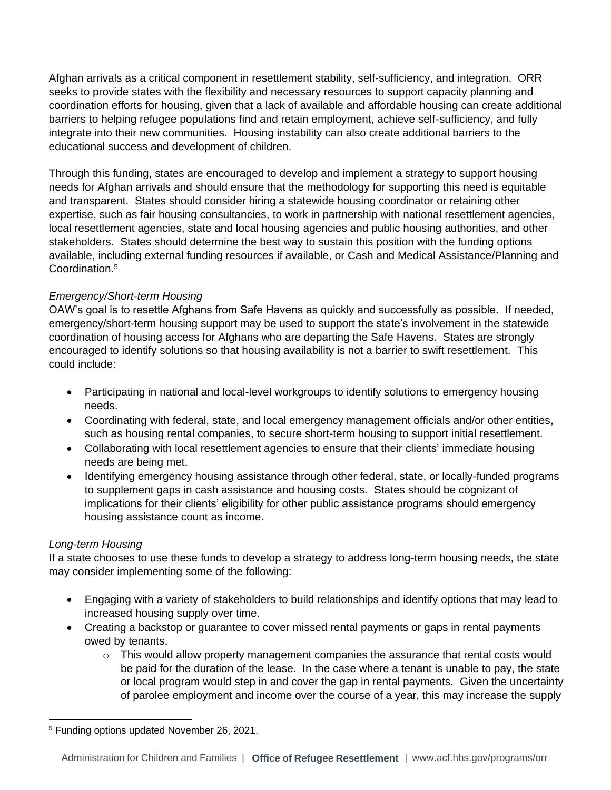Afghan arrivals as a critical component in resettlement stability, self-sufficiency, and integration. ORR seeks to provide states with the flexibility and necessary resources to support capacity planning and coordination efforts for housing, given that a lack of available and affordable housing can create additional barriers to helping refugee populations find and retain employment, achieve self-sufficiency, and fully integrate into their new communities. Housing instability can also create additional barriers to the educational success and development of children.

Through this funding, states are encouraged to develop and implement a strategy to support housing needs for Afghan arrivals and should ensure that the methodology for supporting this need is equitable and transparent. States should consider hiring a statewide housing coordinator or retaining other expertise, such as fair housing consultancies, to work in partnership with national resettlement agencies, local resettlement agencies, state and local housing agencies and public housing authorities, and other stakeholders. States should determine the best way to sustain this position with the funding options available, including external funding resources if available, or Cash and Medical Assistance/Planning and Coordination. 5

## *Emergency/Short-term Housing*

OAW's goal is to resettle Afghans from Safe Havens as quickly and successfully as possible. If needed, emergency/short-term housing support may be used to support the state's involvement in the statewide coordination of housing access for Afghans who are departing the Safe Havens. States are strongly encouraged to identify solutions so that housing availability is not a barrier to swift resettlement. This could include:

- Participating in national and local-level workgroups to identify solutions to emergency housing needs.
- Coordinating with federal, state, and local emergency management officials and/or other entities, such as housing rental companies, to secure short-term housing to support initial resettlement.
- Collaborating with local resettlement agencies to ensure that their clients' immediate housing needs are being met.
- Identifying emergency housing assistance through other federal, state, or locally-funded programs to supplement gaps in cash assistance and housing costs. States should be cognizant of implications for their clients' eligibility for other public assistance programs should emergency housing assistance count as income.

#### *Long-term Housing*

If a state chooses to use these funds to develop a strategy to address long-term housing needs, the state may consider implementing some of the following:

- Engaging with a variety of stakeholders to build relationships and identify options that may lead to increased housing supply over time.
- Creating a backstop or guarantee to cover missed rental payments or gaps in rental payments owed by tenants.
	- $\circ$  This would allow property management companies the assurance that rental costs would be paid for the duration of the lease. In the case where a tenant is unable to pay, the state or local program would step in and cover the gap in rental payments. Given the uncertainty of parolee employment and income over the course of a year, this may increase the supply

<sup>5</sup> Funding options updated November 26, 2021.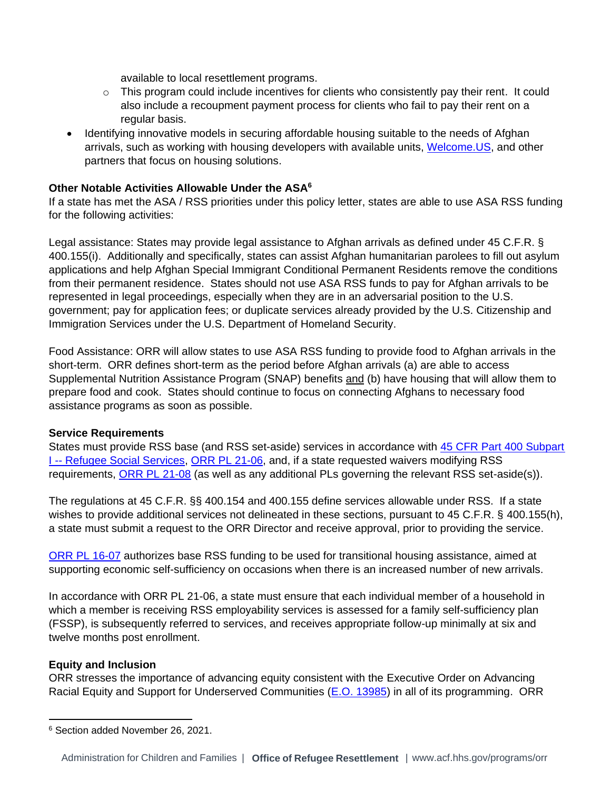available to local resettlement programs.

- $\circ$  This program could include incentives for clients who consistently pay their rent. It could also include a recoupment payment process for clients who fail to pay their rent on a regular basis.
- Identifying innovative models in securing affordable housing suitable to the needs of Afghan arrivals, such as working with housing developers with available units, [Welcome.US,](https://welcome.us/) and other partners that focus on housing solutions.

### **Other Notable Activities Allowable Under the ASA<sup>6</sup>**

If a state has met the ASA / RSS priorities under this policy letter, states are able to use ASA RSS funding for the following activities:

Legal assistance: States may provide legal assistance to Afghan arrivals as defined under 45 C.F.R. § 400.155(i). Additionally and specifically, states can assist Afghan humanitarian parolees to fill out asylum applications and help Afghan Special Immigrant Conditional Permanent Residents remove the conditions from their permanent residence. States should not use ASA RSS funds to pay for Afghan arrivals to be represented in legal proceedings, especially when they are in an adversarial position to the U.S. government; pay for application fees; or duplicate services already provided by the U.S. Citizenship and Immigration Services under the U.S. Department of Homeland Security.

Food Assistance: ORR will allow states to use ASA RSS funding to provide food to Afghan arrivals in the short-term. ORR defines short-term as the period before Afghan arrivals (a) are able to access Supplemental Nutrition Assistance Program (SNAP) benefits and (b) have housing that will allow them to prepare food and cook. States should continue to focus on connecting Afghans to necessary food assistance programs as soon as possible.

#### **Service Requirements**

States must provide RSS base (and RSS set-aside) services in accordance with [45 CFR Part 400 Subpart](https://www.ecfr.gov/current/title-45/subtitle-B/chapter-IV/part-400)  **I-- [Refugee Social Services,](https://www.ecfr.gov/current/title-45/subtitle-B/chapter-IV/part-400) [ORR PL 21-06,](https://www.acf.hhs.gov/sites/default/files/documents/orr/ORR-PL-21-06-Enhanced-Family-Self-Sufficiency-Plan.pdf) and, if a state requested waivers modifying RSS** requirements, [ORR PL 21-08](https://www.acf.hhs.gov/sites/default/files/documents/orr/ORR-PL-21-08-FY2022-Continued-Flexibilities-Related-to-COVID-19.pdf) (as well as any additional PLs governing the relevant RSS set-aside(s)).

The regulations at 45 C.F.R. §§ 400.154 and 400.155 define services allowable under RSS. If a state wishes to provide additional services not delineated in these sections, pursuant to 45 C.F.R. § 400.155(h), a state must submit a request to the ORR Director and receive approval, prior to providing the service.

[ORR PL 16-07](https://www.acf.hhs.gov/orr/policy-guidance/guidance-refugee-social-services-funding) authorizes base RSS funding to be used for transitional housing assistance, aimed at supporting economic self-sufficiency on occasions when there is an increased number of new arrivals.

In accordance with ORR PL 21-06, a state must ensure that each individual member of a household in which a member is receiving RSS employability services is assessed for a family self-sufficiency plan (FSSP), is subsequently referred to services, and receives appropriate follow-up minimally at six and twelve months post enrollment.

#### **Equity and Inclusion**

ORR stresses the importance of advancing equity consistent with the Executive Order on Advancing Racial Equity and Support for Underserved Communities [\(E.O. 13985\)](https://www.whitehouse.gov/briefing-room/presidential-actions/2021/01/20/executive-order-advancing-racial-equity-and-support-for-underserved-communities-through-the-federal-government/) in all of its programming. ORR

<sup>6</sup> Section added November 26, 2021.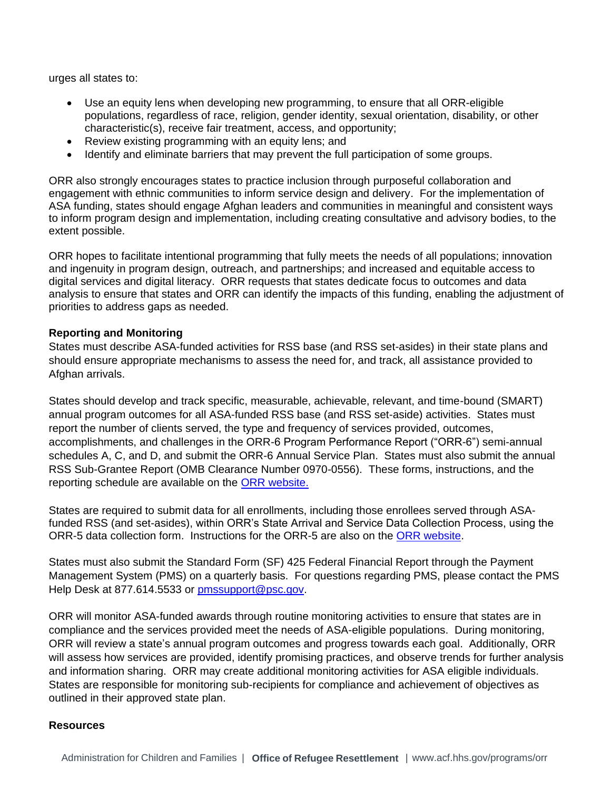urges all states to:

- Use an equity lens when developing new programming, to ensure that all ORR-eligible populations, regardless of race, religion, gender identity, sexual orientation, disability, or other characteristic(s), receive fair treatment, access, and opportunity;
- Review existing programming with an equity lens; and
- Identify and eliminate barriers that may prevent the full participation of some groups.

ORR also strongly encourages states to practice inclusion through purposeful collaboration and engagement with ethnic communities to inform service design and delivery. For the implementation of ASA funding, states should engage Afghan leaders and communities in meaningful and consistent ways to inform program design and implementation, including creating consultative and advisory bodies, to the extent possible.

ORR hopes to facilitate intentional programming that fully meets the needs of all populations; innovation and ingenuity in program design, outreach, and partnerships; and increased and equitable access to digital services and digital literacy. ORR requests that states dedicate focus to outcomes and data analysis to ensure that states and ORR can identify the impacts of this funding, enabling the adjustment of priorities to address gaps as needed.

#### **Reporting and Monitoring**

States must describe ASA-funded activities for RSS base (and RSS set-asides) in their state plans and should ensure appropriate mechanisms to assess the need for, and track, all assistance provided to Afghan arrivals.

States should develop and track specific, measurable, achievable, relevant, and time-bound (SMART) annual program outcomes for all ASA-funded RSS base (and RSS set-aside) activities. States must report the number of clients served, the type and frequency of services provided, outcomes, accomplishments, and challenges in the ORR-6 Program Performance Report ("ORR-6") semi-annual schedules A, C, and D, and submit the ORR-6 Annual Service Plan. States must also submit the annual RSS Sub-Grantee Report (OMB Clearance Number 0970-0556). These forms, instructions, and the reporting schedule are available on the [ORR website.](https://www.acf.hhs.gov/orr/form/report-forms)

States are required to submit data for all enrollments, including those enrollees served through ASAfunded RSS (and set-asides), within ORR's State Arrival and Service Data Collection Process, using the ORR-5 data collection form. Instructions for the ORR-5 are also on the ORR website.

States must also submit the Standard Form (SF) 425 Federal Financial Report through the Payment Management System (PMS) on a quarterly basis. For questions regarding PMS, please contact the PMS Help Desk at 877.614.5533 or [pmssupport@psc.gov.](mailto:pmssupport@psc.gov)

ORR will monitor ASA-funded awards through routine monitoring activities to ensure that states are in compliance and the services provided meet the needs of ASA-eligible populations. During monitoring, ORR will review a state's annual program outcomes and progress towards each goal. Additionally, ORR will assess how services are provided, identify promising practices, and observe trends for further analysis and information sharing. ORR may create additional monitoring activities for ASA eligible individuals. States are responsible for monitoring sub-recipients for compliance and achievement of objectives as outlined in their approved state plan.

#### **Resources**